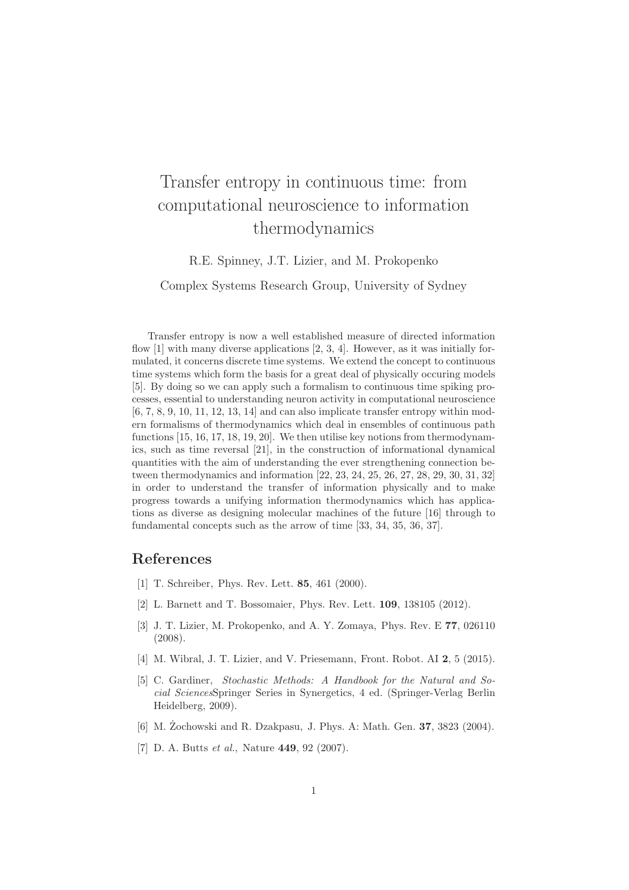## Transfer entropy in continuous time: from computational neuroscience to information thermodynamics

R.E. Spinney, J.T. Lizier, and M. Prokopenko

Complex Systems Research Group, University of Sydney

Transfer entropy is now a well established measure of directed information flow [1] with many diverse applications [2, 3, 4]. However, as it was initially formulated, it concerns discrete time systems. We extend the concept to continuous time systems which form the basis for a great deal of physically occuring models [5]. By doing so we can apply such a formalism to continuous time spiking processes, essential to understanding neuron activity in computational neuroscience [6, 7, 8, 9, 10, 11, 12, 13, 14] and can also implicate transfer entropy within modern formalisms of thermodynamics which deal in ensembles of continuous path functions [15, 16, 17, 18, 19, 20]. We then utilise key notions from thermodynamics, such as time reversal [21], in the construction of informational dynamical quantities with the aim of understanding the ever strengthening connection between thermodynamics and information [22, 23, 24, 25, 26, 27, 28, 29, 30, 31, 32] in order to understand the transfer of information physically and to make progress towards a unifying information thermodynamics which has applications as diverse as designing molecular machines of the future [16] through to fundamental concepts such as the arrow of time [33, 34, 35, 36, 37].

## References

- [1] T. Schreiber, Phys. Rev. Lett. 85, 461 (2000).
- [2] L. Barnett and T. Bossomaier, Phys. Rev. Lett. 109, 138105 (2012).
- [3] J. T. Lizier, M. Prokopenko, and A. Y. Zomaya, Phys. Rev. E 77, 026110 (2008).
- [4] M. Wibral, J. T. Lizier, and V. Priesemann, Front. Robot. AI 2, 5 (2015).
- [5] C. Gardiner, *Stochastic Methods: A Handbook for the Natural and Social Sciences*Springer Series in Synergetics, 4 ed. (Springer-Verlag Berlin Heidelberg, 2009).
- [6] M. Zochowski and R. Dzakpasu, J. Phys. A: Math. Gen. **37**, 3823 (2004).
- [7] D. A. Butts *et al.*, Nature 449, 92 (2007).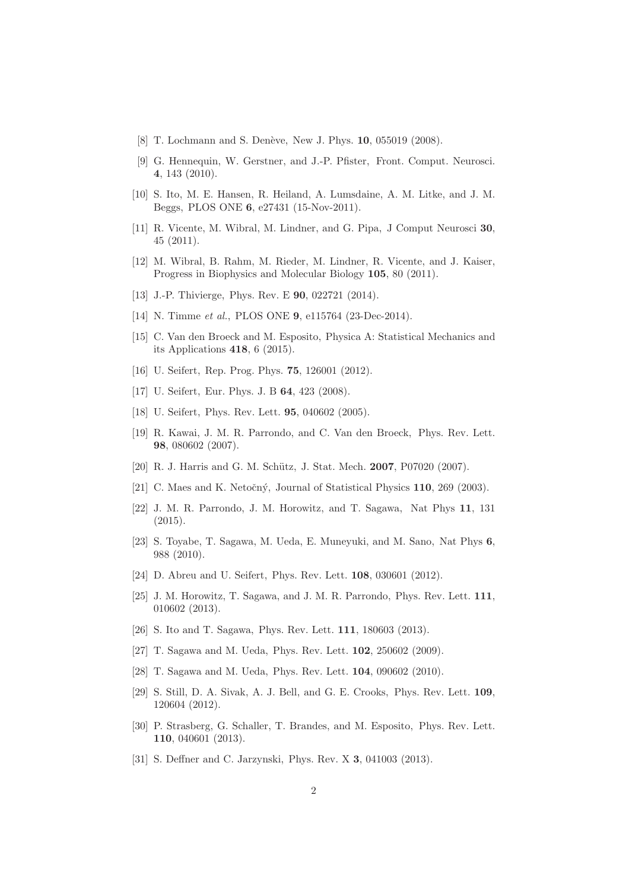- [8] T. Lochmann and S. Denève, New J. Phys. 10, 055019 (2008).
- [9] G. Hennequin, W. Gerstner, and J.-P. Pfister, Front. Comput. Neurosci. 4, 143 (2010).
- [10] S. Ito, M. E. Hansen, R. Heiland, A. Lumsdaine, A. M. Litke, and J. M. Beggs, PLOS ONE 6, e27431 (15-Nov-2011).
- [11] R. Vicente, M. Wibral, M. Lindner, and G. Pipa, J Comput Neurosci 30, 45 (2011).
- [12] M. Wibral, B. Rahm, M. Rieder, M. Lindner, R. Vicente, and J. Kaiser, Progress in Biophysics and Molecular Biology 105, 80 (2011).
- [13] J.-P. Thivierge, Phys. Rev. E 90, 022721 (2014).
- [14] N. Timme *et al.*, PLOS ONE 9, e115764 (23-Dec-2014).
- [15] C. Van den Broeck and M. Esposito, Physica A: Statistical Mechanics and its Applications 418, 6 (2015).
- [16] U. Seifert, Rep. Prog. Phys. **75**, 126001 (2012).
- [17] U. Seifert, Eur. Phys. J. B **64**, 423 (2008).
- [18] U. Seifert, Phys. Rev. Lett. **95**, 040602 (2005).
- [19] R. Kawai, J. M. R. Parrondo, and C. Van den Broeck, Phys. Rev. Lett. 98, 080602 (2007).
- [20] R. J. Harris and G. M. Schütz, J. Stat. Mech. 2007, P07020 (2007).
- [21] C. Maes and K. Netočný, Journal of Statistical Physics  $110$ ,  $269$  (2003).
- [22] J. M. R. Parrondo, J. M. Horowitz, and T. Sagawa, Nat Phys 11, 131 (2015).
- [23] S. Toyabe, T. Sagawa, M. Ueda, E. Muneyuki, and M. Sano, Nat Phys 6, 988 (2010).
- [24] D. Abreu and U. Seifert, Phys. Rev. Lett. **108**, 030601 (2012).
- [25] J. M. Horowitz, T. Sagawa, and J. M. R. Parrondo, Phys. Rev. Lett. 111, 010602 (2013).
- [26] S. Ito and T. Sagawa, Phys. Rev. Lett. 111, 180603 (2013).
- [27] T. Sagawa and M. Ueda, Phys. Rev. Lett. 102, 250602 (2009).
- [28] T. Sagawa and M. Ueda, Phys. Rev. Lett. 104, 090602 (2010).
- [29] S. Still, D. A. Sivak, A. J. Bell, and G. E. Crooks, Phys. Rev. Lett. 109, 120604 (2012).
- [30] P. Strasberg, G. Schaller, T. Brandes, and M. Esposito, Phys. Rev. Lett. 110, 040601 (2013).
- [31] S. Deffner and C. Jarzynski, Phys. Rev. X 3, 041003 (2013).